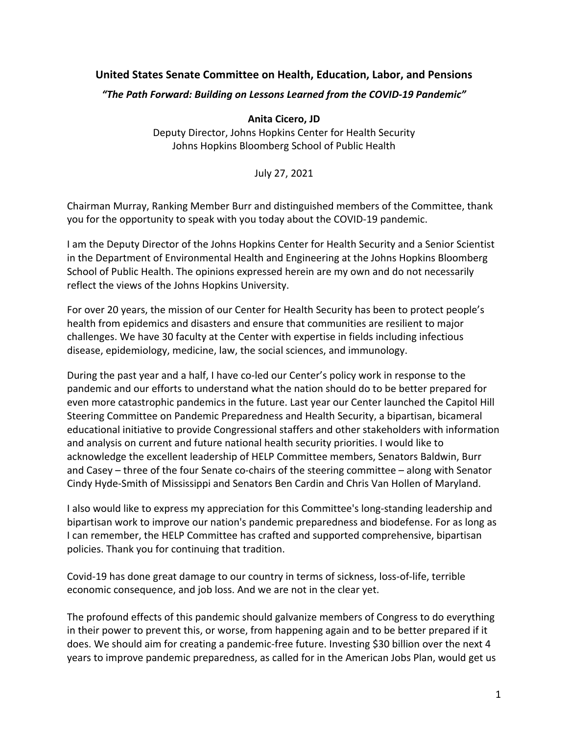# **United States Senate Committee on Health, Education, Labor, and Pensions**

#### *"The Path Forward: Building on Lessons Learned from the COVID-19 Pandemic"*

 **Anita Cicero, JD** 

 Deputy Director, Johns Hopkins Center for Health Security Johns Hopkins Bloomberg School of Public Health

July 27, 2021

 Chairman Murray, Ranking Member Burr and distinguished members of the Committee, thank you for the opportunity to speak with you today about the COVID-19 pandemic.

 I am the Deputy Director of the Johns Hopkins Center for Health Security and a Senior Scientist in the Department of Environmental Health and Engineering at the Johns Hopkins Bloomberg School of Public Health. The opinions expressed herein are my own and do not necessarily reflect the views of the Johns Hopkins University.

 For over 20 years, the mission of our Center for Health Security has been to protect people's health from epidemics and disasters and ensure that communities are resilient to major challenges. We have 30 faculty at the Center with expertise in fields including infectious disease, epidemiology, medicine, law, the social sciences, and immunology.

 During the past year and a half, I have co-led our Center's policy work in response to the pandemic and our efforts to understand what the nation should do to be better prepared for even more catastrophic pandemics in the future. Last year our Center launched the Capitol Hill Steering Committee on Pandemic Preparedness and Health Security, a bipartisan, bicameral educational initiative to provide Congressional staffers and other stakeholders with information and analysis on current and future national health security priorities. I would like to acknowledge the excellent leadership of HELP Committee members, Senators Baldwin, Burr and Casey – three of the four Senate co-chairs of the steering committee – along with Senator Cindy Hyde-Smith of Mississippi and Senators Ben Cardin and Chris Van Hollen of Maryland.

 I also would like to express my appreciation for this Committee's long-standing leadership and bipartisan work to improve our nation's pandemic preparedness and biodefense. For as long as I can remember, the HELP Committee has crafted and supported comprehensive, bipartisan policies. Thank you for continuing that tradition.

 Covid-19 has done great damage to our country in terms of sickness, loss-of-life, terrible economic consequence, and job loss. And we are not in the clear yet.

 The profound effects of this pandemic should galvanize members of Congress to do everything in their power to prevent this, or worse, from happening again and to be better prepared if it does. We should aim for creating a pandemic-free future. Investing \$30 billion over the next 4 years to improve pandemic preparedness, as called for in the American Jobs Plan, would get us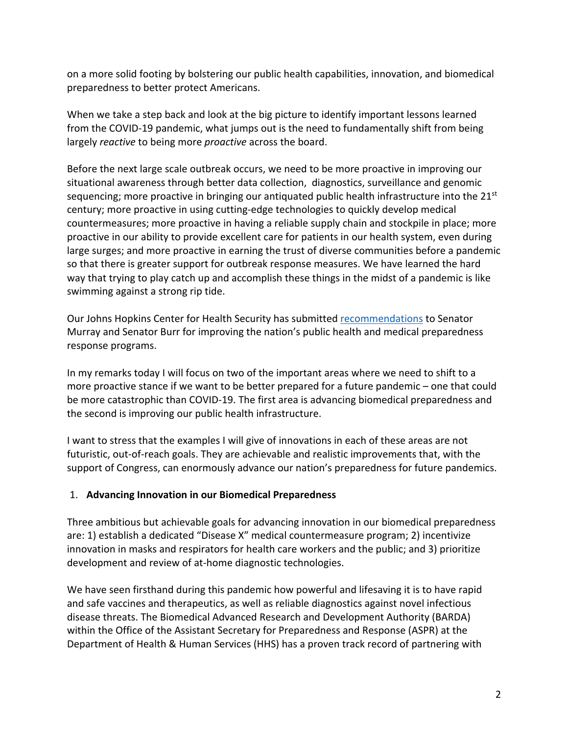on a more solid footing by bolstering our public health capabilities, innovation, and biomedical preparedness to better protect Americans.

 When we take a step back and look at the big picture to identify important lessons learned from the COVID-19 pandemic, what jumps out is the need to fundamentally shift from being largely *reactive* to being more *proactive* across the board.

 Before the next large scale outbreak occurs, we need to be more proactive in improving our situational awareness through better data collection, diagnostics, surveillance and genomic sequencing; more proactive in bringing our antiquated public health infrastructure into the 21<sup>st</sup> century; more proactive in using cutting-edge technologies to quickly develop medical countermeasures; more proactive in having a reliable supply chain and stockpile in place; more proactive in our ability to provide excellent care for patients in our health system, even during large surges; and more proactive in earning the trust of diverse communities before a pandemic so that there is greater support for outbreak response measures. We have learned the hard way that trying to play catch up and accomplish these things in the midst of a pandemic is like swimming against a strong rip tide.

Our Johns Hopkins Center for Health Security has submitted recommendations to Senator Murray and Senator Burr for improving the nation's public health and medical preparedness response programs.

 In my remarks today I will focus on two of the important areas where we need to shift to a more proactive stance if we want to be better prepared for a future pandemic – one that could be more catastrophic than COVID-19. The first area is advancing biomedical preparedness and the second is improving our public health infrastructure.

 I want to stress that the examples I will give of innovations in each of these areas are not futuristic, out-of-reach goals. They are achievable and realistic improvements that, with the support of Congress, can enormously advance our nation's preparedness for future pandemics.

## 1. **Advancing Innovation in our Biomedical Preparedness**

 Three ambitious but achievable goals for advancing innovation in our biomedical preparedness are: 1) establish a dedicated "Disease X" medical countermeasure program; 2) incentivize innovation in masks and respirators for health care workers and the public; and 3) prioritize development and review of at-home diagnostic technologies.

 We have seen firsthand during this pandemic how powerful and lifesaving it is to have rapid and safe vaccines and therapeutics, as well as reliable diagnostics against novel infectious disease threats. The Biomedical Advanced Research and Development Authority (BARDA) within the Office of the Assistant Secretary for Preparedness and Response (ASPR) at the Department of Health & Human Services (HHS) has a proven track record of partnering with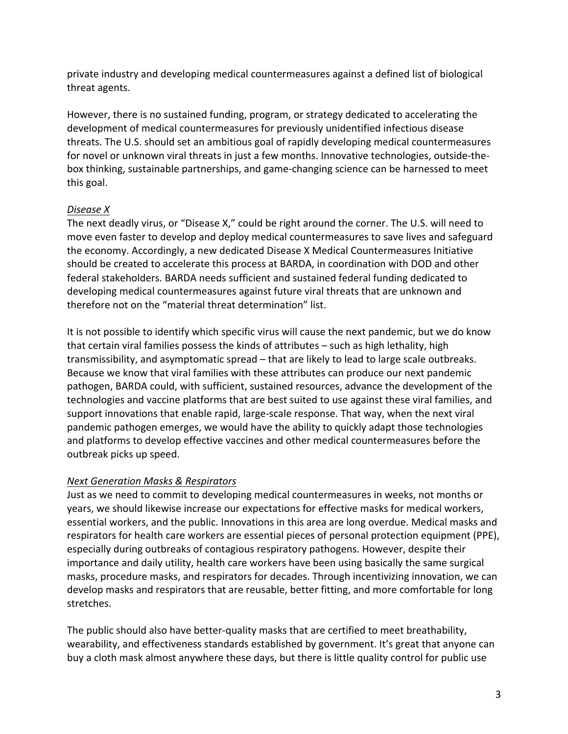private industry and developing medical countermeasures against a defined list of biological threat agents.

 However, there is no sustained funding, program, or strategy dedicated to accelerating the development of medical countermeasures for previously unidentified infectious disease threats. The U.S. should set an ambitious goal of rapidly developing medical countermeasures for novel or unknown viral threats in just a few months. Innovative technologies, outside-the- box thinking, sustainable partnerships, and game-changing science can be harnessed to meet this goal.

## *Disease X*

 The next deadly virus, or "Disease X," could be right around the corner. The U.S. will need to move even faster to develop and deploy medical countermeasures to save lives and safeguard the economy. Accordingly, a new dedicated Disease X Medical Countermeasures Initiative should be created to accelerate this process at BARDA, in coordination with DOD and other federal stakeholders. BARDA needs sufficient and sustained federal funding dedicated to developing medical countermeasures against future viral threats that are unknown and therefore not on the "material threat determination" list.

 It is not possible to identify which specific virus will cause the next pandemic, but we do know that certain viral families possess the kinds of attributes – such as high lethality, high transmissibility, and asymptomatic spread – that are likely to lead to large scale outbreaks. Because we know that viral families with these attributes can produce our next pandemic pathogen, BARDA could, with sufficient, sustained resources, advance the development of the technologies and vaccine platforms that are best suited to use against these viral families, and support innovations that enable rapid, large-scale response. That way, when the next viral pandemic pathogen emerges, we would have the ability to quickly adapt those technologies and platforms to develop effective vaccines and other medical countermeasures before the outbreak picks up speed.

## *Next Generation Masks & Respirators*

 Just as we need to commit to developing medical countermeasures in weeks, not months or years, we should likewise increase our expectations for effective masks for medical workers, essential workers, and the public. Innovations in this area are long overdue. Medical masks and respirators for health care workers are essential pieces of personal protection equipment (PPE), especially during outbreaks of contagious respiratory pathogens. However, despite their importance and daily utility, health care workers have been using basically the same surgical masks, procedure masks, and respirators for decades. Through incentivizing innovation, we can develop masks and respirators that are reusable, better fitting, and more comfortable for long stretches.

 The public should also have better-quality masks that are certified to meet breathability, wearability, and effectiveness standards established by government. It's great that anyone can buy a cloth mask almost anywhere these days, but there is little quality control for public use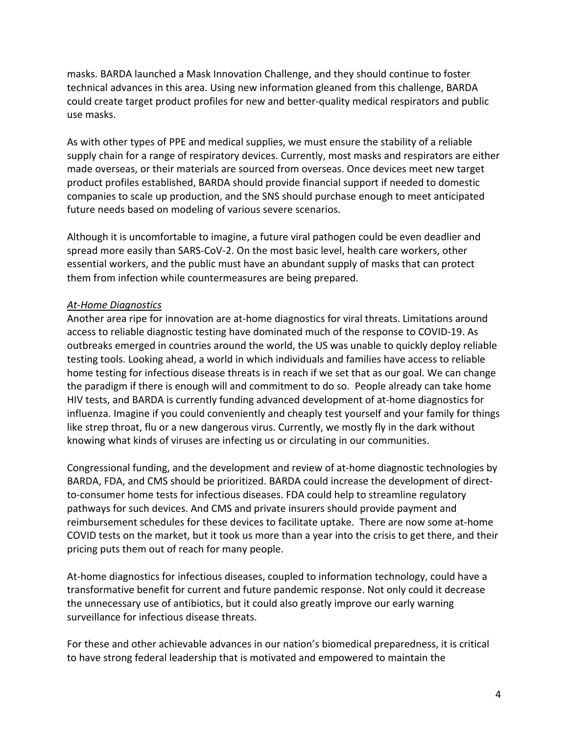masks. BARDA launched a Mask Innovation Challenge, and they should continue to foster technical advances in this area. Using new information gleaned from this challenge, BARDA could create target product profiles for new and better-quality medical respirators and public use masks.

 As with other types of PPE and medical supplies, we must ensure the stability of a reliable supply chain for a range of respiratory devices. Currently, most masks and respirators are either made overseas, or their materials are sourced from overseas. Once devices meet new target product profiles established, BARDA should provide financial support if needed to domestic companies to scale up production, and the SNS should purchase enough to meet anticipated future needs based on modeling of various severe scenarios.

 Although it is uncomfortable to imagine, a future viral pathogen could be even deadlier and spread more easily than SARS-CoV-2. On the most basic level, health care workers, other essential workers, and the public must have an abundant supply of masks that can protect them from infection while countermeasures are being prepared.

## *At-Home Diagnostics*

 Another area ripe for innovation are at-home diagnostics for viral threats. Limitations around access to reliable diagnostic testing have dominated much of the response to COVID-19. As outbreaks emerged in countries around the world, the US was unable to quickly deploy reliable testing tools. Looking ahead, a world in which individuals and families have access to reliable home testing for infectious disease threats is in reach if we set that as our goal. We can change the paradigm if there is enough will and commitment to do so. People already can take home HIV tests, and BARDA is currently funding advanced development of at-home diagnostics for influenza. Imagine if you could conveniently and cheaply test yourself and your family for things like strep throat, flu or a new dangerous virus. Currently, we mostly fly in the dark without knowing what kinds of viruses are infecting us or circulating in our communities.

 Congressional funding, and the development and review of at-home diagnostic technologies by BARDA, FDA, and CMS should be prioritized. BARDA could increase the development of direct- to-consumer home tests for infectious diseases. FDA could help to streamline regulatory pathways for such devices. And CMS and private insurers should provide payment and reimbursement schedules for these devices to facilitate uptake. There are now some at-home COVID tests on the market, but it took us more than a year into the crisis to get there, and their pricing puts them out of reach for many people.

 At-home diagnostics for infectious diseases, coupled to information technology, could have a transformative benefit for current and future pandemic response. Not only could it decrease the unnecessary use of antibiotics, but it could also greatly improve our early warning surveillance for infectious disease threats.

 For these and other achievable advances in our nation's biomedical preparedness, it is critical to have strong federal leadership that is motivated and empowered to maintain the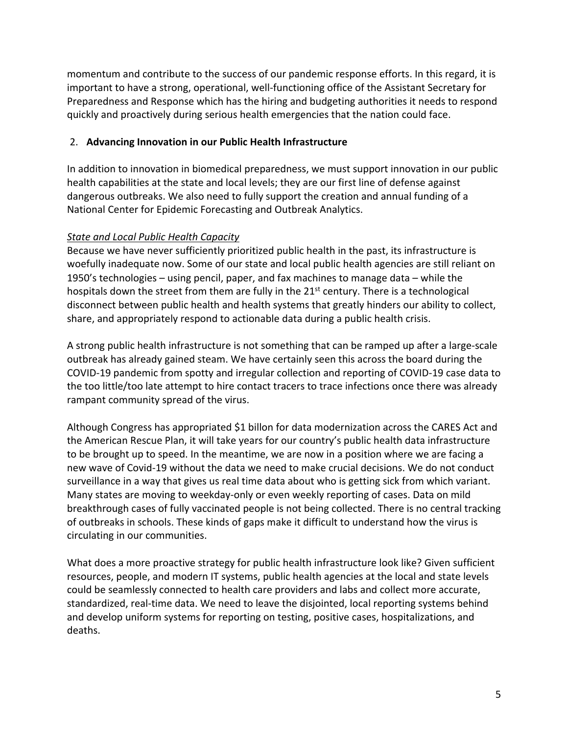momentum and contribute to the success of our pandemic response efforts. In this regard, it is important to have a strong, operational, well-functioning office of the Assistant Secretary for Preparedness and Response which has the hiring and budgeting authorities it needs to respond quickly and proactively during serious health emergencies that the nation could face.

#### 2. **Advancing Innovation in our Public Health Infrastructure**

 In addition to innovation in biomedical preparedness, we must support innovation in our public health capabilities at the state and local levels; they are our first line of defense against dangerous outbreaks. We also need to fully support the creation and annual funding of a National Center for Epidemic Forecasting and Outbreak Analytics.

#### *State and Local Public Health Capacity*

 Because we have never sufficiently prioritized public health in the past, its infrastructure is woefully inadequate now. Some of our state and local public health agencies are still reliant on 1950's technologies – using pencil, paper, and fax machines to manage data – while the hospitals down the street from them are fully in the 21<sup>st</sup> century. There is a technological disconnect between public health and health systems that greatly hinders our ability to collect, share, and appropriately respond to actionable data during a public health crisis.

 A strong public health infrastructure is not something that can be ramped up after a large-scale outbreak has already gained steam. We have certainly seen this across the board during the COVID-19 pandemic from spotty and irregular collection and reporting of COVID-19 case data to the too little/too late attempt to hire contact tracers to trace infections once there was already rampant community spread of the virus.

 Although Congress has appropriated \$1 billon for data modernization across the CARES Act and the American Rescue Plan, it will take years for our country's public health data infrastructure to be brought up to speed. In the meantime, we are now in a position where we are facing a new wave of Covid-19 without the data we need to make crucial decisions. We do not conduct surveillance in a way that gives us real time data about who is getting sick from which variant. Many states are moving to weekday-only or even weekly reporting of cases. Data on mild breakthrough cases of fully vaccinated people is not being collected. There is no central tracking of outbreaks in schools. These kinds of gaps make it difficult to understand how the virus is circulating in our communities.

 What does a more proactive strategy for public health infrastructure look like? Given sufficient resources, people, and modern IT systems, public health agencies at the local and state levels could be seamlessly connected to health care providers and labs and collect more accurate, standardized, real-time data. We need to leave the disjointed, local reporting systems behind and develop uniform systems for reporting on testing, positive cases, hospitalizations, and deaths.